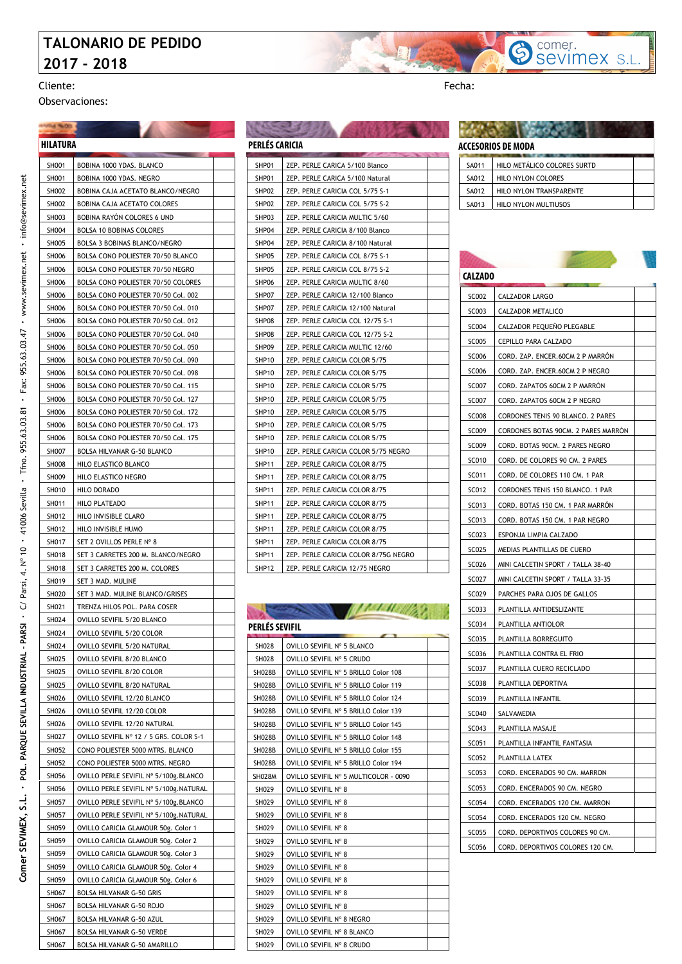### **TALONARIO DE PEDIDO 2017 - 2018**



**HARM NOOL** 

Observaciones:

#### SH001 BOBINA 1000 YDAS, BLANCO SH001 BOBINA 1000 YDAS. NEGRO SH002 | BOBINA CAJA ACETATO BLANCO/NEGRO SH002 BOBINA CAJA ACETATO COLORES SH003 BOBINA RAYÓN COLORES 6 UND SHOO4 BOLSA 10 BOBINAS COLORES SH005 BOLSA 3 BOBINAS BLANCO/NEGRO SH006 BOLSA CONO POLIESTER 70/50 BL SH006 BOLSA CONO POLIESTER 70/50 NEGRO SH006 BOLSA CONO POLIESTER 70/50 COLORES SH006 BOLSA CONO POLIESTER 70/50 Col. 002 SH006 BOLSA CONO POLIESTER 70/50 Col. 010 SH006 BOLSA CONO POLIESTER 70/50 Col. 012 SH006 BOLSA CONO POLIESTER 70/50 Col. 040 SH006 BOLSA CONO POLIESTER 70/50 Col. 050 SH006 BOLSA CONO POLIESTER 70/50 Col. 090 SH006 BOLSA CONO POLIESTER 70/50 Col. 098 SH006 BOLSA CONO POLIESTER 70/50 Col. 115 SH006 BOLSA CONO POLIESTER 70/50 Col. 127 SH006 BOLSA CONO POLIESTER 70/50 Col. 172 SH006 | BOLSA CONO POLIESTER 70/50 Col. 173 SH006 BOLSA CONO POLIESTER 70/50 Col. 175 SH007 BOLSA HILVANAR G-50 BLANCO SH008 | HILO ELASTICO BLANCO SH009 HILO ELASTICO NEGRO SH010 | HILO DORADO SH011 | HILO PLATEADO SH012 | HILO INVISIBLE CLARO SH012 | HILO INVISIBLE HUMO SH017 SET 2 OVILLOS PERLE Nº 8 SH018 SET 3 CARRETES 200 M. BLANCO/NEGRO SH018 SET 3 CARRETES 200 M. COLORES SH019 SET 3 MAD. MULINE SH020 SET 3 MAD. MULINE BLANCO/GRISES SH021 | TRENZA HILOS POL. PARA COSER SH024 | OVILLO SEVIFIL 5/20 BLANCO SH024 | OVILLO SEVIFIL 5/20 COLOR SH024 | OVILLO SEVIFIL 5/20 NATURAL SH025 OVILLO SEVIFIL 8/20 BLANCO SH025 | OVILLO SEVIFIL 8/20 COLOR SH025 | OVILLO SEVIFIL 8/20 NATURAL SH026 OVILLO SEVIFIL 12/20 BLANCO SH026 OVILLO SEVIFIL 12/20 COLOR SH026 | OVILLO SEVIFIL 12/20 NATURA SH027 | OVILLO SEVIFIL Nº 12 / 5 GRS. COLOR S-1 SH052 CONO POLIESTER 5000 MTRS. BLANCO SH052 CONO POLIESTER 5000 MTRS. NEGRO SH056 | OVILLO PERLE SEVIFIL Nº 5/100g.BLANCO SH056 | OVILLO PERLE SEVIFIL Nº 5/100g.NATURAL SH057 | OVILLO PERLE SEVIFIL Nº 5/100g.BLANCO SH057 | OVILLO PERLE SEVIFIL Nº 5/100g.NATURAL SH059 | OVILLO CARICIA GLAMOUR 50g. Color 1 SH059 OVILLO CARICIA GLAMOUR 50g. Color 2 SH059 OVILLO CARICIA GLAMOUR 50g. Color 3 SH059 OVILLO CARICIA GLAMOUR 50g. Color 4 SH059 | OVILLO CARICIA GLAMOUR 50g. Color 6 SH067 BOLSA HILVANAR G-50 GRIS SH067 BOLSA HILVANAR G-50 ROJO SH067 BOLSA HILVANAR G-50 AZUI **HILATURA**

SH067 BOLSA HILVANAR G-50 VERDE SH067 BOLSA HILVANAR G-50 AMARILLO

|                   | PERLÉS CARICIA                       |  |  |  |
|-------------------|--------------------------------------|--|--|--|
| SHP01             | ZEP. PERLE CARICA 5/100 Blanco       |  |  |  |
| SHP01             | ZEP. PERLE CARICA 5/100 Natural      |  |  |  |
| SHP02             | ZEP. PERLE CARICIA COL 5/75 S-1      |  |  |  |
| SHP02             | ZEP. PERLE CARICIA COL 5/75 S-2      |  |  |  |
| SHP03             | ZEP. PERLE CARICIA MULTIC 5/60       |  |  |  |
| SHP04             | ZEP. PERLE CARICIA 8/100 Blanco      |  |  |  |
| SHP04             | ZEP. PERLE CARICIA 8/100 Natural     |  |  |  |
| SHP05             | ZEP. PERLE CARICIA COL 8/75 S-1      |  |  |  |
| SHP05             | ZEP. PERLE CARICIA COL 8/75 S-2      |  |  |  |
| SHP06             | ZEP. PERLE CARICIA MULTIC 8/60       |  |  |  |
| SHP07             | ZEP. PERLE CARICIA 12/100 Blanco     |  |  |  |
| SHP07             | ZEP. PERLE CARICIA 12/100 Natural    |  |  |  |
| SHP08             | ZEP. PERLE CARICIA COL 12/75 S-1     |  |  |  |
| SHP08             | ZEP. PERLE CARICIA COL 12/75 S-2     |  |  |  |
| SHP09             | ZEP. PERLE CARICIA MULTIC 12/60      |  |  |  |
| <b>SHP10</b>      | ZEP. PERLE CARICIA COLOR 5/75        |  |  |  |
| SHP <sub>10</sub> | ZEP. PERLE CARICIA COLOR 5/75        |  |  |  |
| SHP10             | ZEP. PERLE CARICIA COLOR 5/75        |  |  |  |
| SHP10             | ZEP. PERLE CARICIA COLOR 5/75        |  |  |  |
| SHP <sub>10</sub> | ZEP. PERLE CARICIA COLOR 5/75        |  |  |  |
| <b>SHP10</b>      | ZEP. PERLE CARICIA COLOR 5/75        |  |  |  |
| SHP <sub>10</sub> | ZEP. PERLE CARICIA COLOR 5/75        |  |  |  |
| SHP10             | ZEP. PERLE CARICIA COLOR 5/75 NEGRO  |  |  |  |
| SHP <sub>11</sub> | ZEP. PERLE CARICIA COLOR 8/75        |  |  |  |
| <b>SHP11</b>      | ZEP. PERLE CARICIA COLOR 8/75        |  |  |  |
| SHP <sub>11</sub> | ZEP. PERLE CARICIA COLOR 8/75        |  |  |  |
| SHP11             | ZEP. PERLE CARICIA COLOR 8/75        |  |  |  |
| SHP <sub>11</sub> | ZEP. PERLE CARICIA COLOR 8/75        |  |  |  |
| SHP11             | ZEP. PERLE CARICIA COLOR 8/75        |  |  |  |
| SHP <sub>11</sub> | ZEP. PERLE CARICIA COLOR 8/75        |  |  |  |
| <b>SHP11</b>      | ZEP. PERLE CARICIA COLOR 8/75G NEGRO |  |  |  |
| SHP <sub>12</sub> | ZEP. PERLE CARICIA 12/75 NEGRO       |  |  |  |

163331

# **Construction of the Construction of the Construction**

| <b>PERLES SEVIFIL</b> |                                       |  |
|-----------------------|---------------------------------------|--|
| <b>SH028</b>          | OVILLO SEVIFIL Nº 5 BLANCO            |  |
| <b>SH028</b>          | OVILLO SEVIFIL Nº 5 CRUDO             |  |
| <b>SH028B</b>         | OVILLO SEVIFIL Nº 5 BRILLO Color 108  |  |
| <b>SH028B</b>         | OVILLO SEVIFIL Nº 5 BRILLO Color 119  |  |
| <b>SH028B</b>         | OVILLO SEVIFIL Nº 5 BRILLO Color 124  |  |
| <b>SH028B</b>         | OVILLO SEVIFIL Nº 5 BRILLO Color 139  |  |
| <b>SH028B</b>         | OVILLO SEVIFIL Nº 5 BRILLO Color 145  |  |
| <b>SH028B</b>         | OVILLO SEVIFIL Nº 5 BRILLO Color 148  |  |
| <b>SH028B</b>         | OVILLO SEVIFIL Nº 5 BRILLO Color 155  |  |
| <b>SH028B</b>         | OVILLO SEVIFIL Nº 5 BRILLO Color 194  |  |
| SH028M                | OVILLO SEVIFIL Nº 5 MULTICOLOR - 0090 |  |
| SH029                 | OVILLO SEVIFIL Nº 8                   |  |
| SH029                 | OVILLO SEVIFIL Nº 8                   |  |
| SH029                 | OVILLO SEVIFIL Nº 8                   |  |
| SH029                 | OVILLO SEVIFIL Nº 8                   |  |
| SH029                 | OVILLO SEVIFIL Nº 8                   |  |
| SH029                 | OVILLO SEVIFIL Nº 8                   |  |
| SH029                 | OVILLO SEVIFIL Nº 8                   |  |
| SH029                 | OVILLO SEVIFIL Nº 8                   |  |
| SH029                 | OVILLO SEVIFIL Nº 8                   |  |
| SH029                 | OVILLO SEVIFIL Nº 8                   |  |
| SH029                 | OVILLO SEVIFIL Nº 8 NEGRO             |  |
| SH029                 | OVILLO SEVIFIL Nº 8 BLANCO            |  |
| SH029                 | OVILLO SEVIFIL Nº 8 CRUDO             |  |



comer.

Sevimex S.L

\$

| SA011        | HILO METÁLICO COLORES SURTD |  |
|--------------|-----------------------------|--|
| <b>SA012</b> | <b>HILO NYLON COLORES</b>   |  |
| <b>SA012</b> | HILO NYLON TRANSPARENTE     |  |
| SA013        | <b>HILO NYLON MULTIUSOS</b> |  |

### **CALZADO**

| SC002        | CALZADOR LARGO                      |  |
|--------------|-------------------------------------|--|
| SC003        | CALZADOR METALICO                   |  |
| SC004        | CALZADOR PEQUEÑO PLEGABLE           |  |
| <b>SC005</b> | CEPILLO PARA CALZADO                |  |
| SC006        | CORD. ZAP. ENCER.60CM 2 P MARRÓN    |  |
| SC006        | CORD. ZAP. ENCER.60CM 2 P NEGRO     |  |
| SC007        | CORD. ZAPATOS 60CM 2 P MARRÓN       |  |
| <b>SC007</b> | CORD. ZAPATOS 60CM 2 P NEGRO        |  |
| SC008        | CORDONES TENIS 90 BLANCO. 2 PARES   |  |
| SC009        | CORDONES BOTAS 90CM. 2 PARES MARRÓN |  |
| SC009        | CORD. BOTAS 90CM. 2 PARES NEGRO     |  |
| SC010        | CORD. DE COLORES 90 CM. 2 PARES     |  |
| SC011        | CORD. DE COLORES 110 CM. 1 PAR      |  |
| SC012        | CORDONES TENIS 150 BLANCO. 1 PAR    |  |
| SC013        | CORD. BOTAS 150 CM. 1 PAR MARRÓN    |  |
| SC013        | CORD. BOTAS 150 CM. 1 PAR NEGRO     |  |
| SC023        | ESPONJA LIMPIA CALZADO              |  |
| SC025        | MEDIAS PLANTILLAS DE CUERO          |  |
| SC026        | MINI CALCETIN SPORT / TALLA 38-40   |  |
| SC027        | MINI CALCETIN SPORT / TALLA 33-35   |  |
| SC029        | PARCHES PARA OJOS DE GALLOS         |  |
| SC033        | PLANTILLA ANTIDESLIZANTE            |  |
| SC034        | PLANTILLA ANTIOLOR                  |  |
| SC035        | PLANTILLA BORREGUITO                |  |
| SC036        | PLANTILLA CONTRA EL FRIO            |  |
| SC037        | PLANTILLA CUERO RECICLADO           |  |
| <b>SC038</b> | PLANTILLA DEPORTIVA                 |  |
| SC039        | PLANTILLA INFANTIL                  |  |
| SC040        | SALVAMEDIA                          |  |
| SC043        | PLANTILLA MASAJE                    |  |
| SC051        | PLANTILLA INFANTIL FANTASIA         |  |
| SC052        | PLANTILLA LATEX                     |  |
| SC053        | CORD. ENCERADOS 90 CM. MARRON       |  |
| SC053        | CORD. ENCERADOS 90 CM. NEGRO        |  |
| SC054        | CORD. ENCERADOS 120 CM. MARRON      |  |
| SC054        | CORD. ENCERADOS 120 CM. NEGRO       |  |
| SC055        | CORD. DEPORTIVOS COLORES 90 CM.     |  |
| SC056        | CORD. DEPORTIVOS COLORES 120 CM.    |  |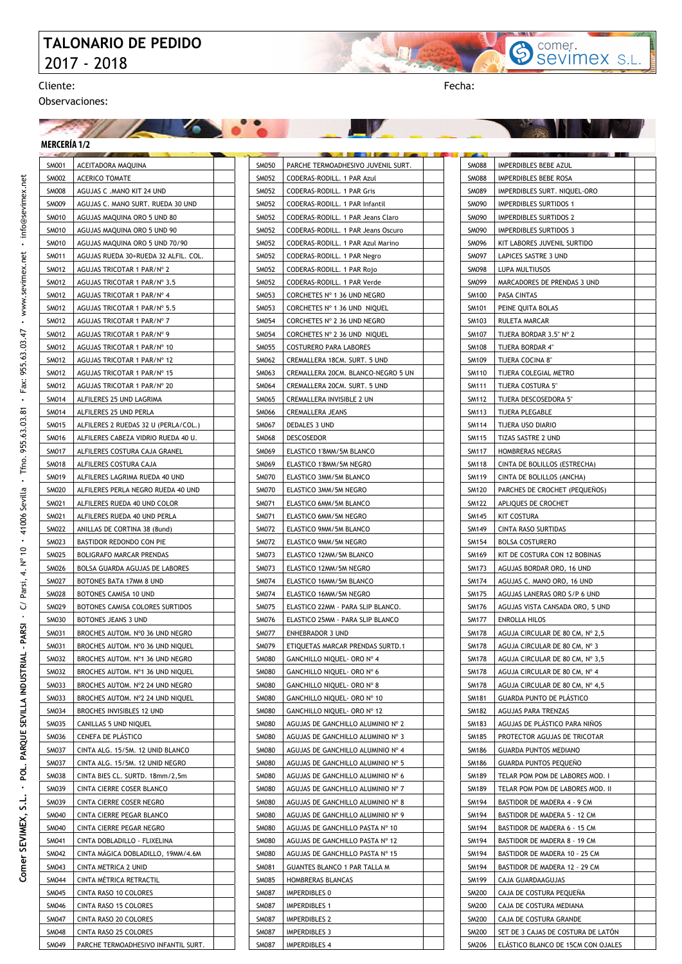## **TALONARIO DE PEDIDO**  2017 - 2018

**All Constitutions** 



Observaciones:

**NOV** 

#### **MERCERÍA 1/2**

| <b>MERCERIA 1/2</b>   |                                                              |  |                       |                                                 |
|-----------------------|--------------------------------------------------------------|--|-----------------------|-------------------------------------------------|
| SM001                 | ACEITADORA MAQUINA                                           |  | SM050                 | PARCHE TERMOADHESIVO JUVENIL SURT.              |
| <b>SM002</b>          | <b>ACERICO TOMATE</b>                                        |  | SM052                 | CODERAS-RODILL. 1 PAR Azul                      |
| <b>SM008</b>          | AGUJAS C .MANO KIT 24 UND                                    |  | SM052                 | CODERAS-RODILL. 1 PAR Gris                      |
| <b>SM009</b>          | AGUJAS C. MANO SURT. RUEDA 30 UND                            |  | SM052                 | CODERAS-RODILL. 1 PAR Infantil                  |
| SM010                 | AGUJAS MAQUINA ORO 5 UND 80                                  |  | SM052                 | CODERAS-RODILL. 1 PAR Jeans Claro               |
| SM010                 | AGUJAS MAQUINA ORO 5 UND 90                                  |  | SM052                 | CODERAS-RODILL. 1 PAR Jeans Oscuro              |
| SM010                 | AGUJAS MAQUINA ORO 5 UND 70/90                               |  | SM052                 | CODERAS-RODILL. 1 PAR Azul Marino               |
| SM011                 | AGUJAS RUEDA 30+RUEDA 32 ALFIL. COL.                         |  | SM052                 | CODERAS-RODILL. 1 PAR Negro                     |
| SM012                 | AGUJAS TRICOTAR 1 PAR/Nº 2                                   |  | SM052                 | CODERAS-RODILL. 1 PAR Rojo                      |
| SM012                 | AGUJAS TRICOTAR 1 PAR/Nº 3.5                                 |  | <b>SM052</b>          | CODERAS-RODILL, 1 PAR Verde                     |
| SM012                 | AGUJAS TRICOTAR 1 PAR/Nº 4                                   |  | SM053                 | CORCHETES Nº 1 36 UND NEGRO                     |
| SM012                 | AGUJAS TRICOTAR 1 PAR/Nº 5.5                                 |  | SM053                 | CORCHETES Nº 1 36 UND NIQUEL                    |
| SM012                 | AGUJAS TRICOTAR 1 PAR/Nº 7                                   |  | SM054                 | CORCHETES Nº 2 36 UND NEGRO                     |
| SM012                 | AGUJAS TRICOTAR 1 PAR/Nº 9                                   |  | SM054                 | CORCHETES Nº 2 36 UND NIQUEL                    |
| SM012                 | AGUJAS TRICOTAR 1 PAR/Nº 10                                  |  | SM055                 | COSTURERO PARA LABORES                          |
| SM012                 | AGUJAS TRICOTAR 1 PAR/Nº 12                                  |  | SM062                 | CREMALLERA 18CM. SURT. 5 UND                    |
| SM012                 | AGUJAS TRICOTAR 1 PAR/Nº 15                                  |  | SM063                 | CREMALLERA 20CM. BLANCO-NEGRO 5 UN              |
| SM012                 | AGUJAS TRICOTAR 1 PAR/Nº 20                                  |  | SM064                 | CREMALLERA 20CM. SURT. 5 UND                    |
| SM014                 | ALFILERES 25 UND LAGRIMA                                     |  | SM065                 | CREMALLERA INVISIBLE 2 UN                       |
| SM014                 | ALFILERES 25 UND PERLA                                       |  | SM066                 | CREMALLERA JEANS                                |
| SM015                 | ALFILERES 2 RUEDAS 32 U (PERLA/COL.)                         |  | SM067                 | DEDALES 3 UND                                   |
| SM016                 | ALFILERES CABEZA VIDRIO RUEDA 40 U.                          |  | SM068                 | <b>DESCOSEDOR</b>                               |
| SM017                 | ALFILERES COSTURA CAJA GRANEL                                |  | SM069                 | ELASTICO 1'8MM/5M BLANCO                        |
| SM018                 | ALFILERES COSTURA CAJA                                       |  | SM069                 | ELASTICO 1'8MM/5M NEGRO                         |
| SM019                 | ALFILERES LAGRIMA RUEDA 40 UND                               |  | <b>SM070</b>          | ELASTICO 3MM/5M BLANCO                          |
| <b>SM020</b><br>SM021 | ALFILERES PERLA NEGRO RUEDA 40 UND                           |  | <b>SM070</b><br>SM071 | ELASTICO 3MM/5M NEGRO                           |
| SM021                 | ALFILERES RUEDA 40 UND COLOR                                 |  | SM071                 | ELASTICO 6MM/5M BLANCO<br>ELASTICO 6MM/5M NEGRO |
| <b>SM022</b>          | ALFILERES RUEDA 40 UND PERLA<br>ANILLAS DE CORTINA 38 (8und) |  | SM072                 | ELASTICO 9MM/5M BLANCO                          |
| SM023                 | BASTIDOR REDONDO CON PIE                                     |  | SM072                 | ELASTICO 9MM/5M NEGRO                           |
| SM025                 | <b>BOLIGRAFO MARCAR PRENDAS</b>                              |  | SM073                 | ELASTICO 12MM/5M BLANCO                         |
| SM026                 | BOLSA GUARDA AGUJAS DE LABORES                               |  | SM073                 | ELASTICO 12MM/5M NEGRO                          |
| SM027                 | BOTONES BATA 17MM 8 UND                                      |  | SM074                 | ELASTICO 16MM/5M BLANCO                         |
| <b>SM028</b>          | BOTONES CAMISA 10 UND                                        |  | SM074                 | ELASTICO 16MM/5M NEGRO                          |
| SM029                 | BOTONES CAMISA COLORES SURTIDOS                              |  | <b>SM075</b>          | ELASTICO 22MM - PARA SLIP BLANCO.               |
| <b>SM030</b>          | BOTONES JEANS 3 UND                                          |  | <b>SM076</b>          | ELASTICO 25MM - PARA SLIP BLANCO                |
| SM031                 | BROCHES AUTOM. Nº0 36 UND NEGRO                              |  | <b>SM077</b>          | <b>ENHEBRADOR 3 UND</b>                         |
| SM031                 | BROCHES AUTOM. Nº0 36 UND NIQUEL                             |  | SM079                 | ETIQUETAS MARCAR PRENDAS SURTD.1                |
| SM032                 | BROCHES AUTOM. Nº1 36 UND NEGRO                              |  | SM080                 | GANCHILLO NIQUEL- ORO Nº 4                      |
| SM032                 | BROCHES AUTOM. Nº1 36 UND NIQUEL                             |  | <b>SM080</b>          | GANCHILLO NIQUEL- ORO Nº 6                      |
| SM033                 | BROCHES AUTOM. Nº2 24 UND NEGRO                              |  | <b>SM080</b>          | GANCHILLO NIQUEL- ORO Nº 8                      |
| SM033                 | BROCHES AUTOM. Nº2 24 UND NIQUEL                             |  | <b>SM080</b>          | GANCHILLO NIQUEL- ORO Nº 10                     |
| SM034                 | BROCHES INVISIBLES 12 UND                                    |  | <b>SM080</b>          | GANCHILLO NIQUEL- ORO Nº 12                     |
| SM035                 | CANILLAS 5 UND NIQUEL                                        |  | <b>SM080</b>          | AGUJAS DE GANCHILLO ALUMINIO Nº 2               |
| SM036                 | CENEFA DE PLÁSTICO                                           |  | <b>SM080</b>          | AGUJAS DE GANCHILLO ALUMINIO Nº 3               |
| SM037                 | CINTA ALG. 15/5M. 12 UNID BLANCO                             |  | <b>SM080</b>          | AGUJAS DE GANCHILLO ALUMINIO Nº 4               |
| SM037                 | CINTA ALG. 15/5M. 12 UNID NEGRO                              |  | <b>SM080</b>          | AGUJAS DE GANCHILLO ALUMINIO Nº 5               |
| SM038                 | CINTA BIES CL. SURTD. 18mm/2,5m                              |  | <b>SM080</b>          | AGUJAS DE GANCHILLO ALUMINIO Nº 6               |
| SM039                 | CINTA CIERRE COSER BLANCO                                    |  | <b>SM080</b>          | AGUJAS DE GANCHILLO ALUMINIO Nº 7               |
| SM039                 | CINTA CIERRE COSER NEGRO                                     |  | <b>SM080</b>          | AGUJAS DE GANCHILLO ALUMINIO Nº 8               |
| SM040                 | CINTA CIERRE PEGAR BLANCO                                    |  | <b>SM080</b>          | AGUJAS DE GANCHILLO ALUMINIO Nº 9               |
| SM040                 | CINTA CIERRE PEGAR NEGRO                                     |  | <b>SM080</b>          | AGUJAS DE GANCHILLO PASTA Nº 10                 |
| SM041                 | CINTA DOBLADILLO - FLIXELINA                                 |  | <b>SM080</b>          | AGUJAS DE GANCHILLO PASTA Nº 12                 |
| SM042                 | CINTA MAGICA DOBLADILLO, 19MM/4.6M                           |  | <b>SM080</b>          | AGUJAS DE GANCHILLO PASTA Nº 15                 |
| SM043                 | CINTA METRICA 2 UNID                                         |  | SM081                 | GUANTES BLANCO 1 PAR TALLA M                    |
| SM044                 | CINTA MÉTRICA RETRACTIL                                      |  | <b>SM085</b>          | HOMBRERAS BLANCAS                               |
| SM045                 | CINTA RASO 10 COLORES                                        |  | SM087                 | IMPERDIBLES 0                                   |
| SM046                 | CINTA RASO 15 COLORES                                        |  | <b>SM087</b>          | <b>IMPERDIBLES 1</b>                            |
| SM047                 | CINTA RASO 20 COLORES                                        |  | <b>SM087</b>          | IMPERDIBLES 2                                   |
| SM048                 | CINTA RASO 25 COLORES                                        |  | SM087                 | IMPERDIBLES 3                                   |

SM049 PARCHE TERMOADHESIVO INFANTIL SURT.

SM087 | IMPERDIBLES 4

| SM088        | IMPERDIBLES BEBE AZUL              |  |
|--------------|------------------------------------|--|
| SM088        | IMPERDIBLES BEBE ROSA              |  |
| SM089        | IMPERDIBLES SURT. NIQUEL-ORO       |  |
| SM090        | <b>IMPERDIBLES SURTIDOS 1</b>      |  |
| SM090        | <b>IMPERDIBLES SURTIDOS 2</b>      |  |
| SM090        | <b>IMPERDIBLES SURTIDOS 3</b>      |  |
| SM096        | KIT LABORES JUVENIL SURTIDO        |  |
| SM097        | LAPICES SASTRE 3 UND               |  |
| SM098        | LUPA MULTIUSOS                     |  |
| SM099        | MARCADORES DE PRENDAS 3 UND        |  |
| SM100        | PASA CINTAS                        |  |
| SM101        | PEINE QUITA BOLAS                  |  |
| SM103        | RULETA MARCAR                      |  |
| SM107        | TIJERA BORDAR 3.5" N° 2            |  |
| SM108        | TIJERA BORDAR 4"                   |  |
| SM109        | TIJERA COCINA 8"                   |  |
| SM110        | TIJERA COLEGIAL METRO              |  |
| SM111        | TIJERA COSTURA 5"                  |  |
| <b>SM112</b> | TIJERA DESCOSEDORA 5"              |  |
| SM113        | TIJERA PLEGABLE                    |  |
| SM114        | TIJERA USO DIARIO                  |  |
| SM115        | TIZAS SASTRE 2 UND                 |  |
| SM117        | HOMBRERAS NEGRAS                   |  |
| SM118        | CINTA DE BOLILLOS (ESTRECHA)       |  |
| SM119        | CINTA DE BOLILLOS (ANCHA)          |  |
| SM120        | PARCHES DE CROCHET (PEQUEÑOS)      |  |
| SM122        | APLIQUES DE CROCHET                |  |
| SM145        | KIT COSTURA                        |  |
| SM149        | CINTA RASO SURTIDAS                |  |
| SM154        | <b>BOLSA COSTURERO</b>             |  |
| SM169        | KIT DE COSTURA CON 12 BOBINAS      |  |
| SM173        | AGUJAS BORDAR ORO, 16 UND          |  |
| SM174        | AGUJAS C. MANO ORO, 16 UND         |  |
| SM175        | AGUJAS LANERAS ORO S/P 6 UND       |  |
| SM176        | AGUJAS VISTA CANSADA ORO, 5 UND    |  |
| <b>SM177</b> | ENROLLA HILOS                      |  |
| SM178        | AGUJA CIRCULAR DE 80 CM, Nº 2,5    |  |
| <b>SM178</b> | AGUJA CIRCULAR DE 80 CM, Nº 3      |  |
| <b>SM178</b> | AGUJA CIRCULAR DE 80 CM, Nº 3,5    |  |
| <b>SM178</b> | AGUJA CIRCULAR DE 80 CM, Nº 4      |  |
| SM178        | AGUJA CIRCULAR DE 80 CM, Nº 4,5    |  |
| SM181        | GUARDA PUNTO DE PLÁSTICO           |  |
| <b>SM182</b> | AGUJAS PARA TRENZAS                |  |
| <b>SM183</b> | AGUJAS DE PLÁSTICO PARA NIÑOS      |  |
| SM185        | PROTECTOR AGUJAS DE TRICOTAR       |  |
| SM186        | <b>GUARDA PUNTOS MEDIANO</b>       |  |
| SM186        | <b>GUARDA PUNTOS PEQUEÑO</b>       |  |
| SM189        | TELAR POM POM DE LABORES MOD. I    |  |
| SM189        | TELAR POM POM DE LABORES MOD. II   |  |
| SM194        | BASTIDOR DE MADERA 4 - 9 CM        |  |
| SM194        | BASTIDOR DE MADERA 5 - 12 CM       |  |
| SM194        | BASTIDOR DE MADERA 6 - 15 CM       |  |
| SM194        | BASTIDOR DE MADERA 8 - 19 CM       |  |
| SM194        | BASTIDOR DE MADERA 10 - 25 CM      |  |
| SM194        | BASTIDOR DE MADERA 12 - 29 CM      |  |
| SM199        | CAJA GUARDAAGUJAS                  |  |
| SM200        | CAJA DE COSTURA PEQUEÑA            |  |
| SM200        | CAJA DE COSTURA MEDIANA            |  |
| SM200        | CAJA DE COSTURA GRANDE             |  |
| SM200        | SET DE 3 CAJAS DE COSTURA DE LATÓN |  |
| SM206        | ELÁSTICO BLANCO DE 15CM CON OJALES |  |
|              |                                    |  |

Sevimex S.L.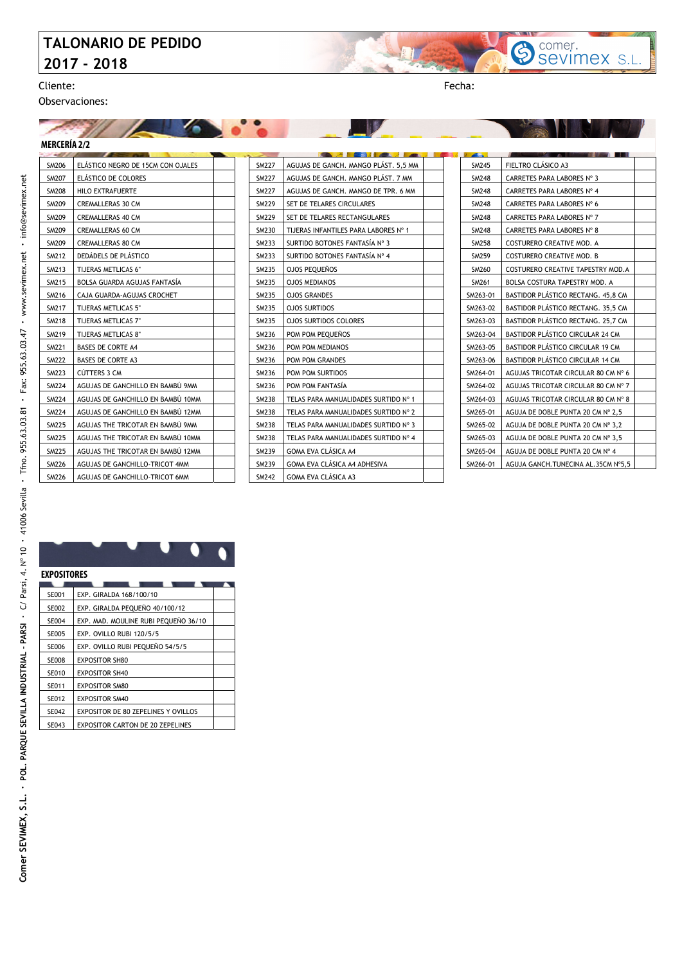## **TALONARIO DE PEDIDO 2017 - 2018**

z,

Cliente: Fecha:

Observaciones:

#### $\sqrt{2}$ **MERCERÍA 2/2**

| <b>SM206</b> | ELÁSTICO NEGRO DE 15CM CON OJALES |  |
|--------------|-----------------------------------|--|
| <b>SM207</b> | ELÁSTICO DE COLORES               |  |
| <b>SM208</b> | HILO EXTRAFUERTE                  |  |
| SM209        | <b>CREMALLERAS 30 CM</b>          |  |
| SM209        | <b>CREMALLERAS 40 CM</b>          |  |
| SM209        | <b>CREMALLERAS 60 CM</b>          |  |
| SM209        | <b>CREMALLERAS 80 CM</b>          |  |
| <b>SM212</b> | DEDÁDELS DE PLÁSTICO              |  |
| SM213        | TIJERAS METLICAS 6"               |  |
| SM215        | BOLSA GUARDA AGUJAS FANTASÍA      |  |
| SM216        | CAJA GUARDA-AGUJAS CROCHET        |  |
| SM217        | TIJERAS METLICAS 5"               |  |
| <b>SM218</b> | TIJERAS METLICAS 7"               |  |
| <b>SM219</b> | TIJERAS METLICAS 8"               |  |
| <b>SM221</b> | <b>BASES DE CORTE A4</b>          |  |
| <b>SM222</b> | <b>BASES DE CORTE A3</b>          |  |
| <b>SM223</b> | CÚTTERS 3 CM                      |  |
| SM224        | AGUJAS DE GANCHILLO EN BAMBÚ 9MM  |  |
| <b>SM224</b> | AGUJAS DE GANCHILLO EN BAMBÚ 10MM |  |
| <b>SM224</b> | AGUJAS DE GANCHILLO EN BAMBÚ 12MM |  |
| <b>SM225</b> | AGUJAS THE TRICOTAR EN BAMBÚ 9MM  |  |
| <b>SM225</b> | AGUJAS THE TRICOTAR EN BAMBU 10MM |  |
| <b>SM225</b> | AGUJAS THE TRICOTAR EN BAMBÚ 12MM |  |
| <b>SM226</b> | AGUJAS DE GANCHILLO-TRICOT 4MM    |  |
| SM226        | AGUJAS DE GANCHILLO-TRICOT 6MM    |  |

| <b>SM227</b> | AGUJAS DE GANCH. MANGO PLÁST. 5,5 MM |
|--------------|--------------------------------------|
| <b>SM227</b> | AGUJAS DE GANCH, MANGO PLÁST, 7 MM   |
| <b>SM227</b> | AGUJAS DE GANCH. MANGO DE TPR. 6 MM  |
| <b>SM229</b> | SET DE TELARES CIRCULARES            |
| <b>SM229</b> | SET DE TELARES RECTANGULARES         |
| SM230        | TIJERAS INFANTILES PARA LABORES Nº 1 |
| SM233        | SURTIDO BOTONES FANTASÍA Nº 3        |
| SM233        | SURTIDO BOTONES FANTASÍA Nº 4        |
| SM235        | OJOS PEQUEÑOS                        |
| SM235        | <b>OJOS MEDIANOS</b>                 |
| SM235        | <b>OJOS GRANDES</b>                  |
| SM235        | <b>OJOS SURTIDOS</b>                 |
| SM235        | <b>OJOS SURTIDOS COLORES</b>         |
| SM236        | POM POM PEOUENOS                     |
| SM236        | POM POM MEDIANOS                     |
| SM236        | POM POM GRANDES                      |
| SM236        | <b>POM POM SURTIDOS</b>              |
| SM236        | POM POM FANTASÍA                     |
| <b>SM238</b> | TELAS PARA MANUALIDADES SURTIDO Nº 1 |
| <b>SM238</b> | TELAS PARA MANUALIDADES SURTIDO Nº 2 |
| <b>SM238</b> | TELAS PARA MANUALIDADES SURTIDO Nº 3 |
| <b>SM238</b> | TELAS PARA MANUALIDADES SURTIDO Nº 4 |
| SM239        | <b>GOMA EVA CLÁSICA A4</b>           |
| SM239        | GOMA EVA CLÁSICA A4 ADHESIVA         |
| <b>SM242</b> | GOMA EVA CLÁSICA A3                  |
|              |                                      |

| SM245        | FIELTRO CLÁSICO A3                      |  |
|--------------|-----------------------------------------|--|
| <b>SM248</b> | CARRETES PARA LABORES Nº 3              |  |
| <b>SM248</b> | CARRETES PARA LABORES Nº 4              |  |
| SM248        | CARRETES PARA LABORES Nº 6              |  |
| <b>SM248</b> | CARRETES PARA LABORES Nº 7              |  |
| <b>SM248</b> | CARRETES PARA LABORES Nº 8              |  |
| <b>SM258</b> | <b>COSTURERO CREATIVE MOD. A</b>        |  |
| SM259        | <b>COSTURERO CREATIVE MOD. B</b>        |  |
| SM260        | COSTURERO CREATIVE TAPESTRY MOD.A       |  |
| SM261        | BOLSA COSTURA TAPESTRY MOD. A           |  |
| SM263-01     | BASTIDOR PLÁSTICO RECTANG. 45,8 CM      |  |
| SM263-02     | BASTIDOR PLÁSTICO RECTANG. 35,5 CM      |  |
| SM263-03     | BASTIDOR PLÁSTICO RECTANG. 25,7 CM      |  |
| SM263-04     | BASTIDOR PLÁSTICO CIRCULAR 24 CM        |  |
| SM263-05     | <b>BASTIDOR PLÁSTICO CIRCULAR 19 CM</b> |  |
| SM263-06     | <b>BASTIDOR PLÁSTICO CIRCULAR 14 CM</b> |  |
| SM264-01     | AGUJAS TRICOTAR CIRCULAR 80 CM Nº 6     |  |
| SM264-02     | AGUJAS TRICOTAR CIRCULAR 80 CM Nº 7     |  |
| SM264-03     | AGUJAS TRICOTAR CIRCULAR 80 CM Nº 8     |  |
| SM265-01     | AGUJA DE DOBLE PUNTA 20 CM Nº 2,5       |  |
| SM265-02     | AGUJA DE DOBLE PUNTA 20 CM Nº 3,2       |  |
| SM265-03     | AGUJA DE DOBLE PUNTA 20 CM Nº 3,5       |  |
| SM265-04     | AGUJA DE DOBLE PUNTA 20 CM Nº 4         |  |
| SM266-01     | AGUJA GANCH.TUNECINA AL.35CM Nº5,5      |  |

Sevimex S.L.

**John** 

#### SE001 EXP. GIRALDA 168/100/10 SE002 | EXP. GIRALDA PEQUEÑO 40/100/12 SE004 EXP. MAD. MOULINE RUBI PEQUEÑO 36/10 SE005 EXP. OVILLO RUBI 120/5/5 SE006 EXP. OVILLO RUBI PEQUEÑO 54/5/5 SE008 EXPOSITOR SH80 SE010 EXPOSITOR SH40 SE011 EXPOSITOR SM80 SE012 EXPOSITOR SM40 SE042 | EXPOSITOR DE 80 ZEPELINES Y OVILLOS SE043 EXPOSITOR CARTON DE 20 ZEPELINES **EXPOSITORES**